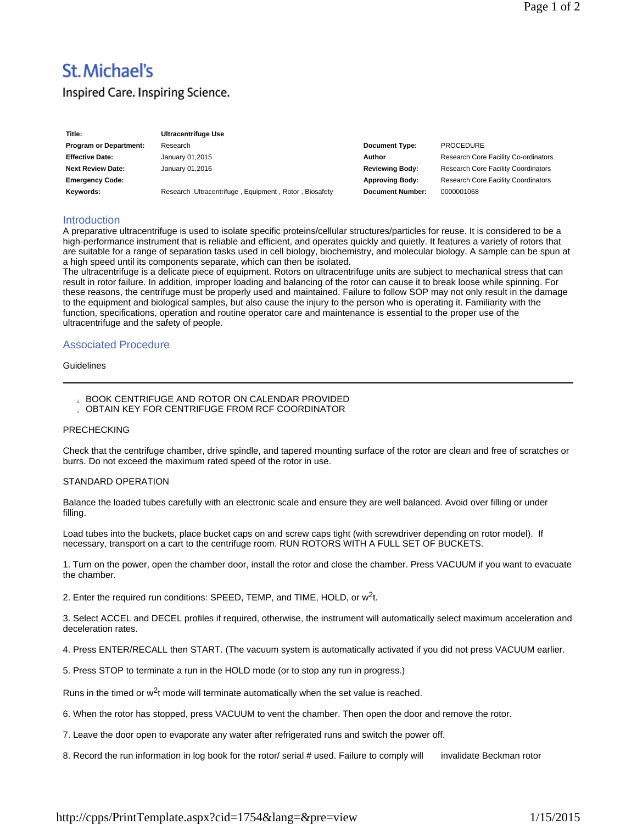# **St. Michael's**

# Inspired Care. Inspiring Science.

| Title:                        | Ultracentrifuge Use                                    |                         |                                            |
|-------------------------------|--------------------------------------------------------|-------------------------|--------------------------------------------|
| <b>Program or Department:</b> | Research                                               | <b>Document Type:</b>   | <b>PROCEDURE</b>                           |
| <b>Effective Date:</b>        | January 01,2015                                        | Author                  | Research Core Facility Co-ordinators       |
| <b>Next Review Date:</b>      | January 01,2016                                        | <b>Reviewing Body:</b>  | <b>Research Core Facility Coordinators</b> |
| <b>Emergency Code:</b>        |                                                        | <b>Approving Body:</b>  | <b>Research Core Facility Coordinators</b> |
| Keywords:                     | Research, Ultracentrifuge, Equipment, Rotor, Biosafety | <b>Document Number:</b> | 0000001068                                 |

# **Introduction**

A preparative ultracentrifuge is used to isolate specific proteins/cellular structures/particles for reuse. It is considered to be a high-performance instrument that is reliable and efficient, and operates quickly and quietly. It features a variety of rotors that are suitable for a range of separation tasks used in cell biology, biochemistry, and molecular biology. A sample can be spun at a high speed until its components separate, which can then be isolated.

The ultracentrifuge is a delicate piece of equipment. Rotors on ultracentrifuge units are subject to mechanical stress that can result in rotor failure. In addition, improper loading and balancing of the rotor can cause it to break loose while spinning. For these reasons, the centrifuge must be properly used and maintained. Failure to follow SOP may not only result in the damage to the equipment and biological samples, but also cause the injury to the person who is operating it. Familiarity with the function, specifications, operation and routine operator care and maintenance is essential to the proper use of the ultracentrifuge and the safety of people.

# Associated Procedure

# **Guidelines**

# BOOK CENTRIFUGE AND ROTOR ON CALENDAR PROVIDED

OBTAIN KEY FOR CENTRIFUGE FROM RCF COORDINATOR

#### PRECHECKING

Check that the centrifuge chamber, drive spindle, and tapered mounting surface of the rotor are clean and free of scratches or burrs. Do not exceed the maximum rated speed of the rotor in use.

#### STANDARD OPERATION

Balance the loaded tubes carefully with an electronic scale and ensure they are well balanced. Avoid over filling or under filling.

Load tubes into the buckets, place bucket caps on and screw caps tight (with screwdriver depending on rotor model). If necessary, transport on a cart to the centrifuge room. RUN ROTORS WITH A FULL SET OF BUCKETS.

1. Turn on the power, open the chamber door, install the rotor and close the chamber. Press VACUUM if you want to evacuate the chamber.

2. Enter the required run conditions: SPEED, TEMP, and TIME, HOLD, or  $w^2t$ .

3. Select ACCEL and DECEL profiles if required, otherwise, the instrument will automatically select maximum acceleration and deceleration rates.

4. Press ENTER/RECALL then START. (The vacuum system is automatically activated if you did not press VACUUM earlier.

5. Press STOP to terminate a run in the HOLD mode (or to stop any run in progress.)

Runs in the timed or  $w^2t$  mode will terminate automatically when the set value is reached.

6. When the rotor has stopped, press VACUUM to vent the chamber. Then open the door and remove the rotor.

7. Leave the door open to evaporate any water after refrigerated runs and switch the power off.

8. Record the run information in log book for the rotor/ serial # used. Failure to comply will invalidate Beckman rotor